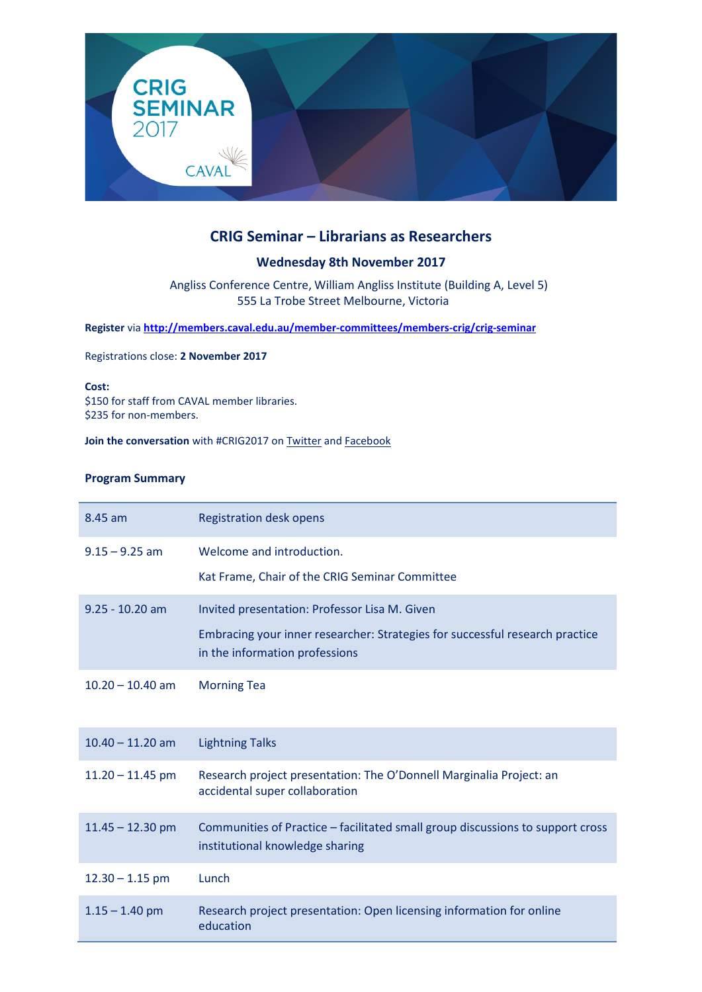

# **CRIG Seminar – Librarians as Researchers**

# **Wednesday 8th November 2017**

Angliss Conference Centre, William Angliss Institute (Building A, Level 5) 555 La Trobe Street Melbourne, Victoria

**Register** via **<http://members.caval.edu.au/member-committees/members-crig/crig-seminar>**

Registrations close: **2 November 2017**

#### **Cost:**

\$150 for staff from CAVAL member libraries. \$235 for non-members.

**Join the conversation** wit[h #CRIG2017](https://twitter.com/hashtag/crig2017) on **[Twitter](https://twitter.com/CRIGseminar)** and **Facebook** 

# **Program Summary**

| 8.45 am            | <b>Registration desk opens</b>                                                                                    |
|--------------------|-------------------------------------------------------------------------------------------------------------------|
| $9.15 - 9.25$ am   | Welcome and introduction.                                                                                         |
|                    | Kat Frame, Chair of the CRIG Seminar Committee                                                                    |
| $9.25 - 10.20$ am  | Invited presentation: Professor Lisa M. Given                                                                     |
|                    | Embracing your inner researcher: Strategies for successful research practice<br>in the information professions    |
| $10.20 - 10.40$ am | <b>Morning Tea</b>                                                                                                |
| $10.40 - 11.20$ am | <b>Lightning Talks</b>                                                                                            |
| $11.20 - 11.45$ pm | Research project presentation: The O'Donnell Marginalia Project: an<br>accidental super collaboration             |
| $11.45 - 12.30$ pm | Communities of Practice – facilitated small group discussions to support cross<br>institutional knowledge sharing |
| $12.30 - 1.15$ pm  | Lunch                                                                                                             |
| $1.15 - 1.40$ pm   | Research project presentation: Open licensing information for online<br>education                                 |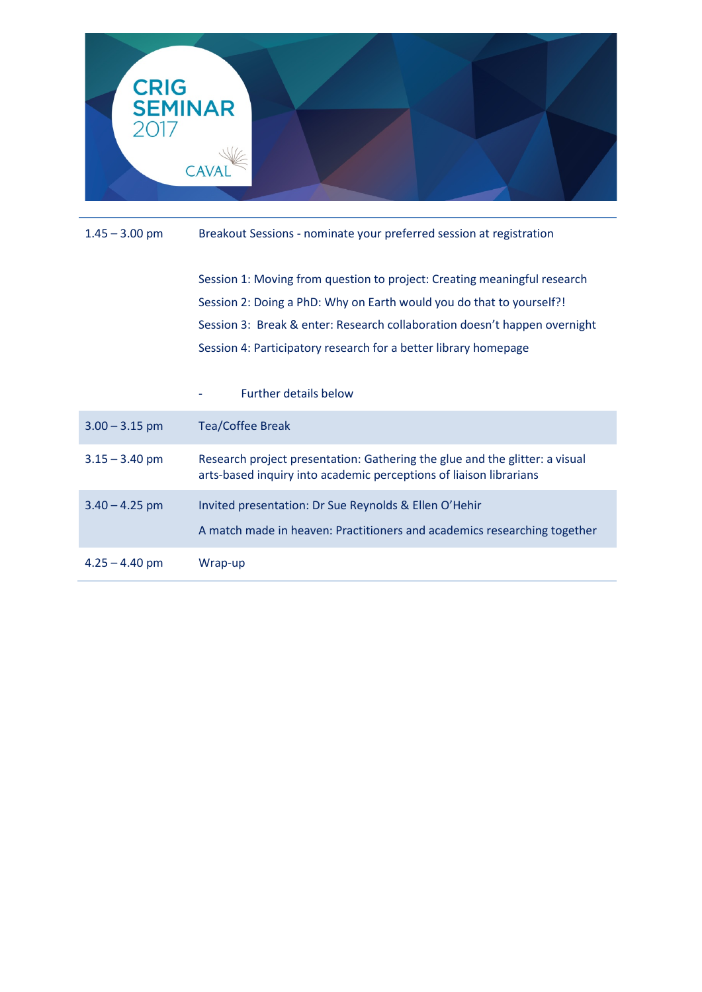

# 1.45 – 3.00 pm Breakout Sessions - nominate your preferred session at registration

Session 1: Moving from question to project: Creating meaningful research Session 2: Doing a PhD: Why on Earth would you do that to yourself?! Session 3: Break & enter: Research collaboration doesn't happen overnight Session 4: Participatory research for a better library homepage

|                  | <b>Further details below</b>                                                                                                                      |
|------------------|---------------------------------------------------------------------------------------------------------------------------------------------------|
| $3.00 - 3.15$ pm | <b>Tea/Coffee Break</b>                                                                                                                           |
| $3.15 - 3.40$ pm | Research project presentation: Gathering the glue and the glitter: a visual<br>arts-based inquiry into academic perceptions of liaison librarians |
| $3.40 - 4.25$ pm | Invited presentation: Dr Sue Reynolds & Ellen O'Hehir<br>A match made in heaven: Practitioners and academics researching together                 |
| $4.25 - 4.40$ pm | Wrap-up                                                                                                                                           |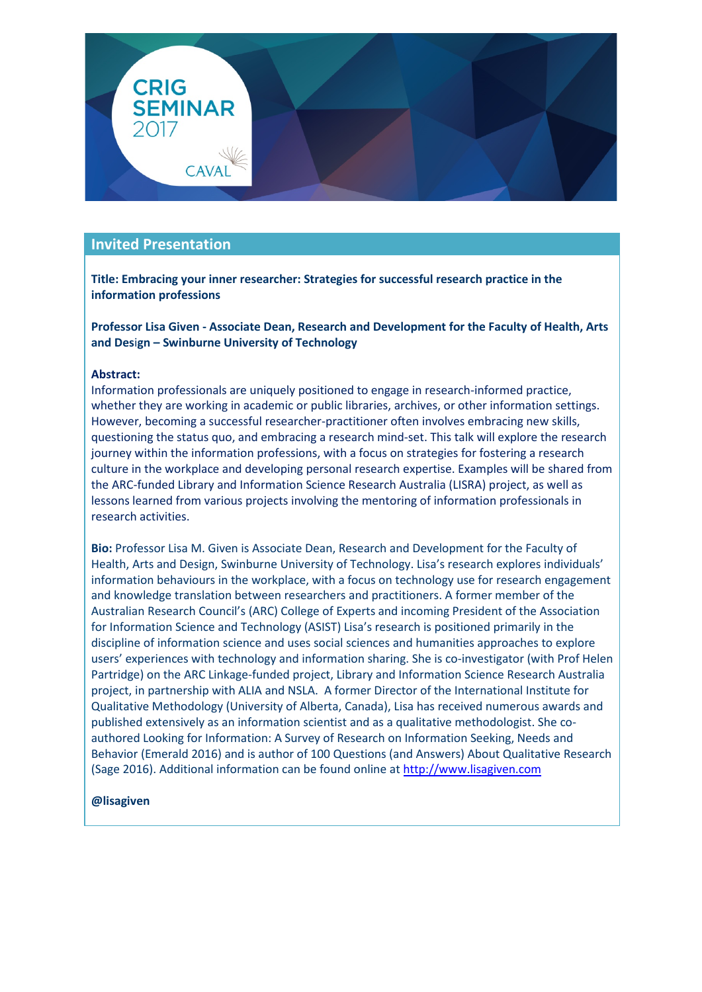

# **Invited Presentation**

**Title: Embracing your inner researcher: Strategies for successful research practice in the information professions**

**Professor Lisa Given - Associate Dean, Research and Development for the Faculty of Health, Arts and Des**i**gn – Swinburne University of Technology**

#### **Abstract:**

Information professionals are uniquely positioned to engage in research-informed practice, whether they are working in academic or public libraries, archives, or other information settings. However, becoming a successful researcher-practitioner often involves embracing new skills, questioning the status quo, and embracing a research mind-set. This talk will explore the research journey within the information professions, with a focus on strategies for fostering a research culture in the workplace and developing personal research expertise. Examples will be shared from the ARC-funded Library and Information Science Research Australia (LISRA) project, as well as lessons learned from various projects involving the mentoring of information professionals in research activities.

**Bio:** Professor Lisa M. Given is Associate Dean, Research and Development for the Faculty of Health, Arts and Design, Swinburne University of Technology. Lisa's research explores individuals' information behaviours in the workplace, with a focus on technology use for research engagement and knowledge translation between researchers and practitioners. A former member of the Australian Research Council's (ARC) College of Experts and incoming President of the Association for Information Science and Technology (ASIST) Lisa's research is positioned primarily in the discipline of information science and uses social sciences and humanities approaches to explore users' experiences with technology and information sharing. She is co-investigator (with Prof Helen Partridge) on the ARC Linkage-funded project, Library and Information Science Research Australia project, in partnership with ALIA and NSLA. A former Director of the International Institute for Qualitative Methodology (University of Alberta, Canada), Lisa has received numerous awards and published extensively as an information scientist and as a qualitative methodologist. She coauthored Looking for Information: A Survey of Research on Information Seeking, Needs and Behavior (Emerald 2016) and is author of 100 Questions (and Answers) About Qualitative Research (Sage 2016). Additional information can be found online at [http://www.lisagiven.com](http://www.lisagiven.com/)

# **@lisagiven**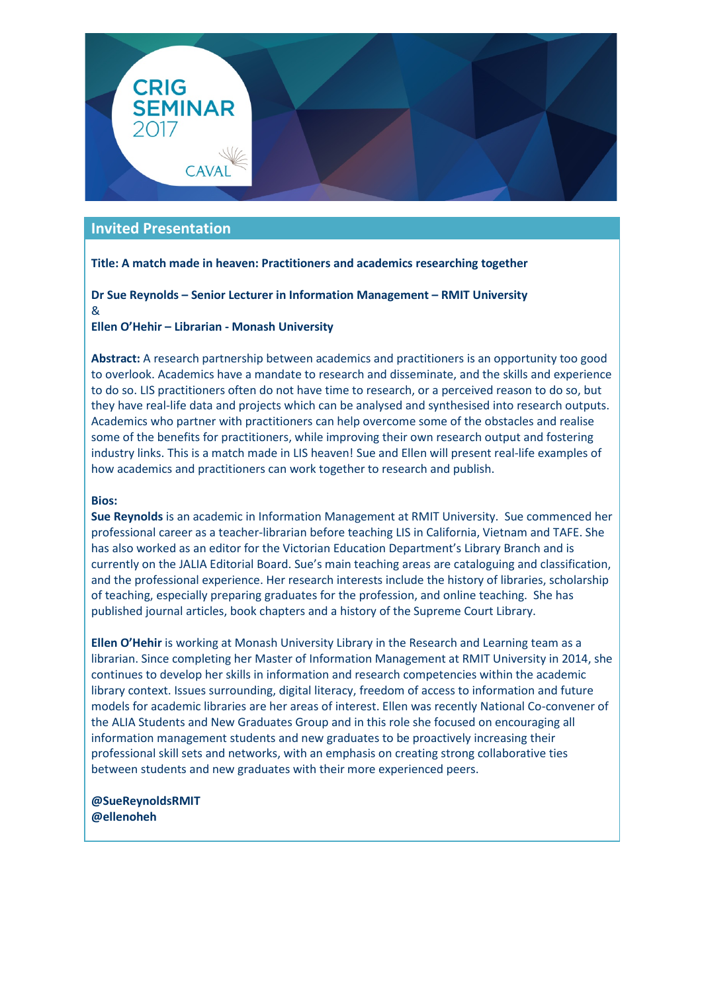

# **Invited Presentation**

# **Title: A match made in heaven: Practitioners and academics researching together**

# **Dr Sue Reynolds – Senior Lecturer in Information Management – RMIT University**  $\mathcal{R}_{\mathcal{L}}$

#### **Ellen O'Hehir – Librarian - Monash University**

**Abstract:** A research partnership between academics and practitioners is an opportunity too good to overlook. Academics have a mandate to research and disseminate, and the skills and experience to do so. LIS practitioners often do not have time to research, or a perceived reason to do so, but they have real-life data and projects which can be analysed and synthesised into research outputs. Academics who partner with practitioners can help overcome some of the obstacles and realise some of the benefits for practitioners, while improving their own research output and fostering industry links. This is a match made in LIS heaven! Sue and Ellen will present real-life examples of how academics and practitioners can work together to research and publish.

#### **Bios:**

**Sue Reynolds** is an academic in Information Management at RMIT University. Sue commenced her professional career as a teacher-librarian before teaching LIS in California, Vietnam and TAFE. She has also worked as an editor for the Victorian Education Department's Library Branch and is currently on the JALIA Editorial Board. Sue's main teaching areas are cataloguing and classification, and the professional experience. Her research interests include the history of libraries, scholarship of teaching, especially preparing graduates for the profession, and online teaching. She has published journal articles, book chapters and a history of the Supreme Court Library.

**Ellen O'Hehir** is working at Monash University Library in the Research and Learning team as a librarian. Since completing her Master of Information Management at RMIT University in 2014, she continues to develop her skills in information and research competencies within the academic library context. Issues surrounding, digital literacy, freedom of access to information and future models for academic libraries are her areas of interest. Ellen was recently National Co-convener of the ALIA Students and New Graduates Group and in this role she focused on encouraging all information management students and new graduates to be proactively increasing their professional skill sets and networks, with an emphasis on creating strong collaborative ties between students and new graduates with their more experienced peers.

**@SueReynoldsRMIT @ellenoheh**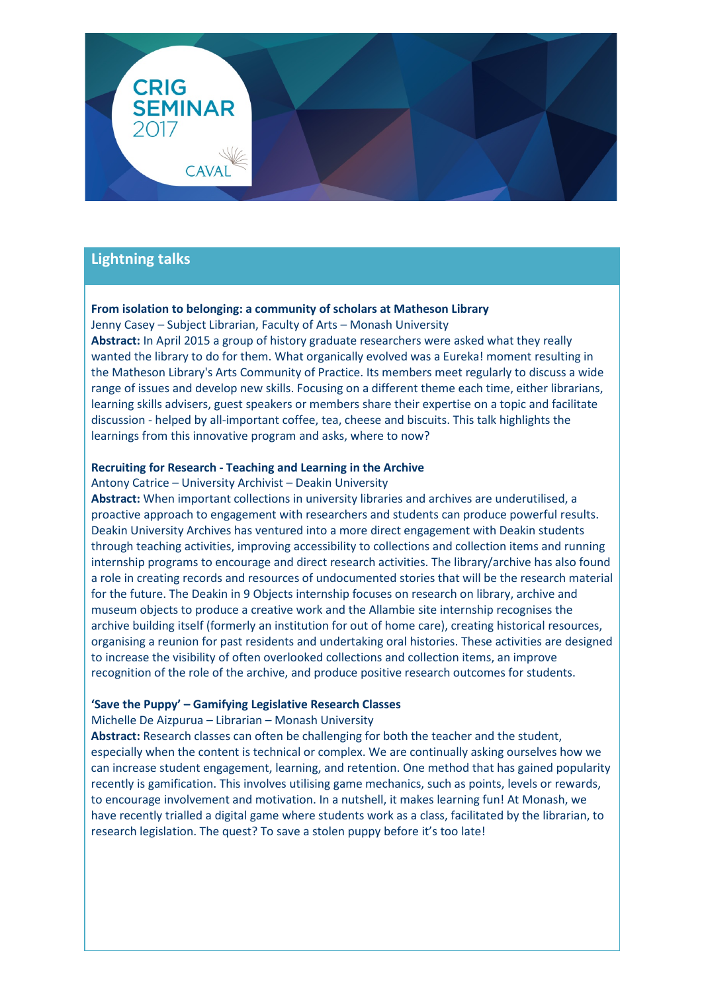

# **Lightning talks**

# **From isolation to belonging: a community of scholars at Matheson Library**

Jenny Casey – Subject Librarian, Faculty of Arts – Monash University **Abstract:** In April 2015 a group of history graduate researchers were asked what they really wanted the library to do for them. What organically evolved was a Eureka! moment resulting in the Matheson Library's Arts Community of Practice. Its members meet regularly to discuss a wide range of issues and develop new skills. Focusing on a different theme each time, either librarians, learning skills advisers, guest speakers or members share their expertise on a topic and facilitate discussion - helped by all-important coffee, tea, cheese and biscuits. This talk highlights the learnings from this innovative program and asks, where to now?

#### **Recruiting for Research - Teaching and Learning in the Archive**

#### Antony Catrice – University Archivist – Deakin University

**Abstract:** When important collections in university libraries and archives are underutilised, a proactive approach to engagement with researchers and students can produce powerful results. Deakin University Archives has ventured into a more direct engagement with Deakin students through teaching activities, improving accessibility to collections and collection items and running internship programs to encourage and direct research activities. The library/archive has also found a role in creating records and resources of undocumented stories that will be the research material for the future. The Deakin in 9 Objects internship focuses on research on library, archive and museum objects to produce a creative work and the Allambie site internship recognises the archive building itself (formerly an institution for out of home care), creating historical resources, organising a reunion for past residents and undertaking oral histories. These activities are designed to increase the visibility of often overlooked collections and collection items, an improve recognition of the role of the archive, and produce positive research outcomes for students.

#### **'Save the Puppy' – Gamifying Legislative Research Classes**

#### Michelle De Aizpurua – Librarian – Monash University

**Abstract:** Research classes can often be challenging for both the teacher and the student, especially when the content is technical or complex. We are continually asking ourselves how we can increase student engagement, learning, and retention. One method that has gained popularity recently is gamification. This involves utilising game mechanics, such as points, levels or rewards, to encourage involvement and motivation. In a nutshell, it makes learning fun! At Monash, we have recently trialled a digital game where students work as a class, facilitated by the librarian, to research legislation. The quest? To save a stolen puppy before it's too late!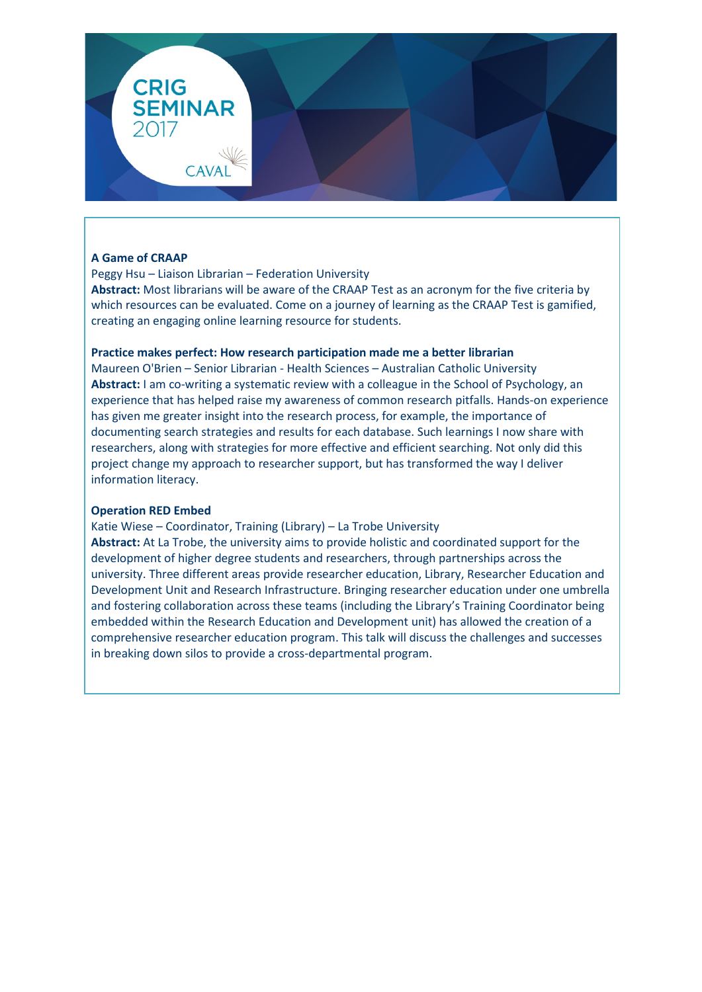

# **A Game of CRAAP**

Peggy Hsu – Liaison Librarian – Federation University **Abstract:** Most librarians will be aware of the CRAAP Test as an acronym for the five criteria by which resources can be evaluated. Come on a journey of learning as the CRAAP Test is gamified, creating an engaging online learning resource for students.

# **Practice makes perfect: How research participation made me a better librarian**

Maureen O'Brien – Senior Librarian - Health Sciences – Australian Catholic University **Abstract:** I am co-writing a systematic review with a colleague in the School of Psychology, an experience that has helped raise my awareness of common research pitfalls. Hands-on experience has given me greater insight into the research process, for example, the importance of documenting search strategies and results for each database. Such learnings I now share with researchers, along with strategies for more effective and efficient searching. Not only did this project change my approach to researcher support, but has transformed the way I deliver information literacy.

# **Operation RED Embed**

Katie Wiese – Coordinator, Training (Library) – La Trobe University

**Abstract:** At La Trobe, the university aims to provide holistic and coordinated support for the development of higher degree students and researchers, through partnerships across the university. Three different areas provide researcher education, Library, Researcher Education and Development Unit and Research Infrastructure. Bringing researcher education under one umbrella and fostering collaboration across these teams (including the Library's Training Coordinator being embedded within the Research Education and Development unit) has allowed the creation of a comprehensive researcher education program. This talk will discuss the challenges and successes in breaking down silos to provide a cross-departmental program.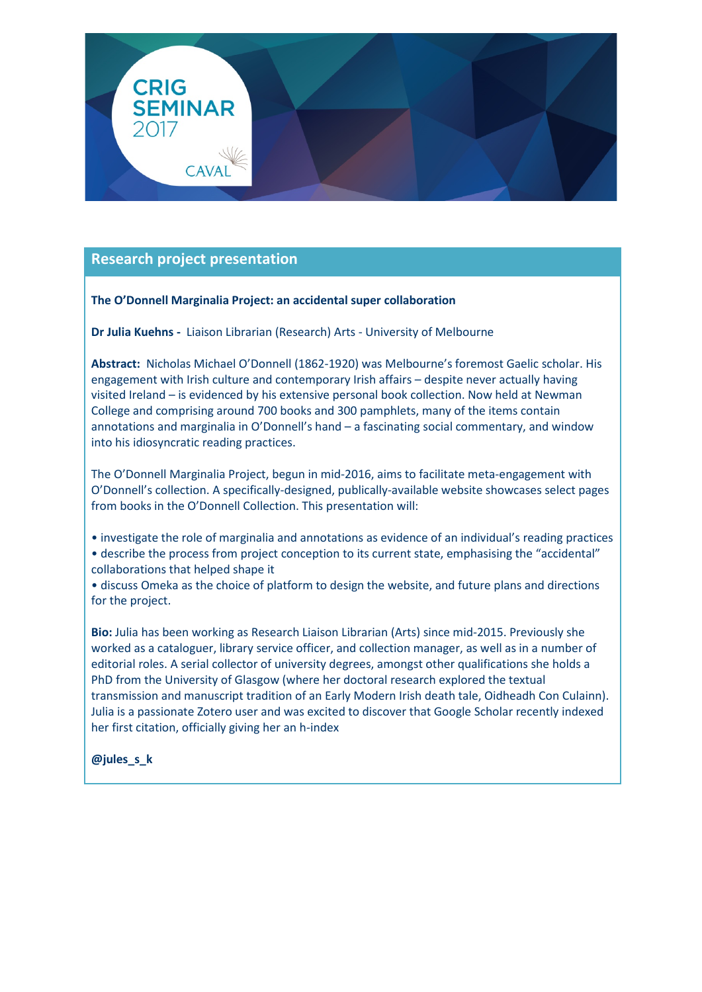

# **Research project presentation**

# **The O'Donnell Marginalia Project: an accidental super collaboration**

**Dr Julia Kuehns -** Liaison Librarian (Research) Arts - University of Melbourne

**Abstract:** Nicholas Michael O'Donnell (1862-1920) was Melbourne's foremost Gaelic scholar. His engagement with Irish culture and contemporary Irish affairs – despite never actually having visited Ireland – is evidenced by his extensive personal book collection. Now held at Newman College and comprising around 700 books and 300 pamphlets, many of the items contain annotations and marginalia in O'Donnell's hand – a fascinating social commentary, and window into his idiosyncratic reading practices.

The O'Donnell Marginalia Project, begun in mid-2016, aims to facilitate meta-engagement with O'Donnell's collection. A specifically-designed, publically-available website showcases select pages from books in the O'Donnell Collection. This presentation will:

• investigate the role of marginalia and annotations as evidence of an individual's reading practices

• describe the process from project conception to its current state, emphasising the "accidental" collaborations that helped shape it

• discuss Omeka as the choice of platform to design the website, and future plans and directions for the project.

**Bio:** Julia has been working as Research Liaison Librarian (Arts) since mid-2015. Previously she worked as a cataloguer, library service officer, and collection manager, as well as in a number of editorial roles. A serial collector of university degrees, amongst other qualifications she holds a PhD from the University of Glasgow (where her doctoral research explored the textual transmission and manuscript tradition of an Early Modern Irish death tale, Oidheadh Con Culainn). Julia is a passionate Zotero user and was excited to discover that Google Scholar recently indexed her first citation, officially giving her an h-index

# **@jules\_s\_k**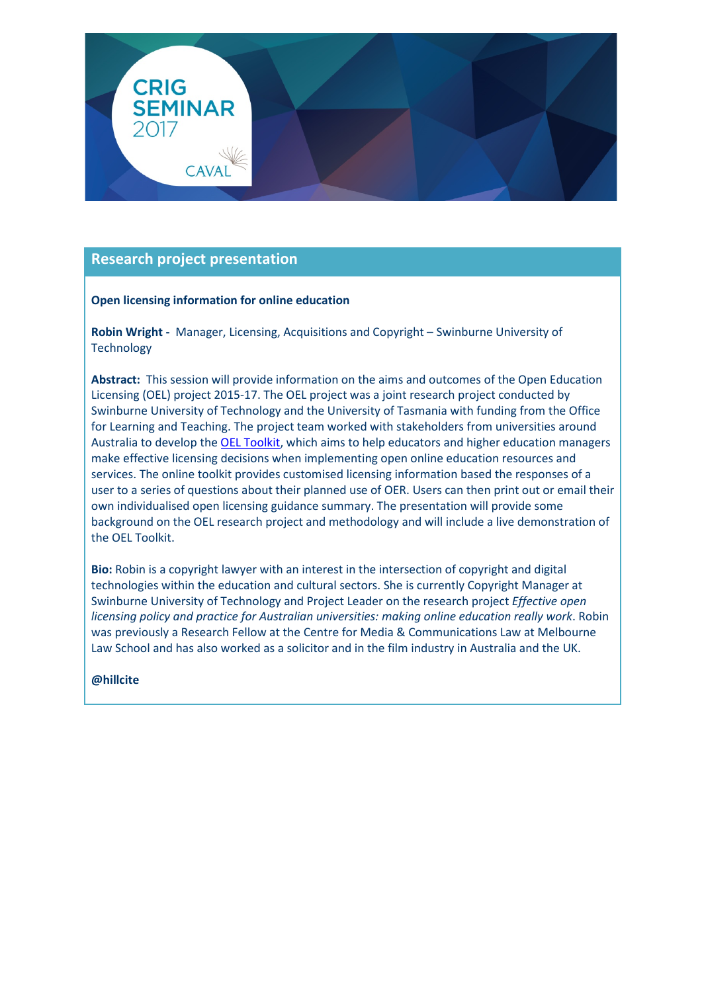

# **Research project presentation**

# **Open licensing information for online education**

**Robin Wright -** Manager, Licensing, Acquisitions and Copyright – Swinburne University of **Technology** 

**Abstract:** This session will provide information on the aims and outcomes of the Open Education Licensing (OEL) project 2015-17. The OEL project was a joint research project conducted by Swinburne University of Technology and the University of Tasmania with funding from the Office for Learning and Teaching. The project team worked with stakeholders from universities around Australia to develop the [OEL Toolkit,](https://protect-au.mimecast.com/s/YZ52BmirL19EI1?domain=oel.edu.au) which aims to help educators and higher education managers make effective licensing decisions when implementing open online education resources and services. The online toolkit provides customised licensing information based the responses of a user to a series of questions about their planned use of OER. Users can then print out or email their own individualised open licensing guidance summary. The presentation will provide some background on the OEL research project and methodology and will include a live demonstration of the OEL Toolkit.

**Bio:** Robin is a copyright lawyer with an interest in the intersection of copyright and digital technologies within the education and cultural sectors. She is currently Copyright Manager at Swinburne University of Technology and Project Leader on the research project *Effective open licensing policy and practice for Australian universities: making online education really work*. Robin was previously a Research Fellow at the Centre for Media & Communications Law at Melbourne Law School and has also worked as a solicitor and in the film industry in Australia and the UK.

# **@hillcite**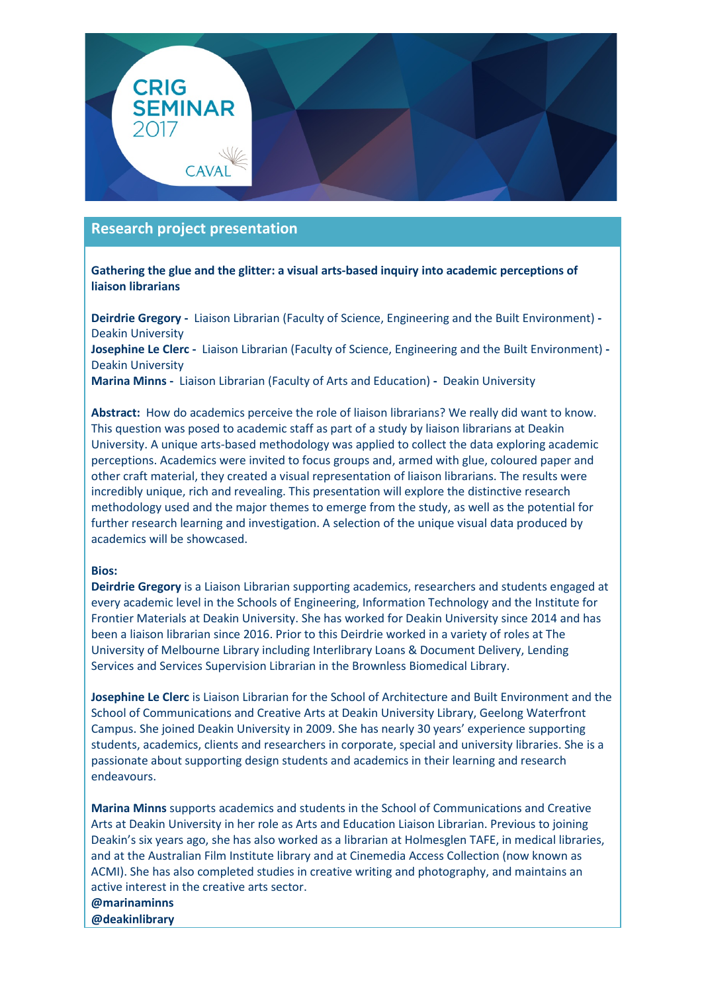

# **Research project presentation**

**Gathering the glue and the glitter: a visual arts-based inquiry into academic perceptions of liaison librarians**

**Deirdrie Gregory -** Liaison Librarian (Faculty of Science, Engineering and the Built Environment) **-**  Deakin University

**Josephine Le Clerc -** Liaison Librarian (Faculty of Science, Engineering and the Built Environment) **-**  Deakin University

**Marina Minns -** Liaison Librarian (Faculty of Arts and Education) **-** Deakin University

**Abstract:** How do academics perceive the role of liaison librarians? We really did want to know. This question was posed to academic staff as part of a study by liaison librarians at Deakin University. A unique arts-based methodology was applied to collect the data exploring academic perceptions. Academics were invited to focus groups and, armed with glue, coloured paper and other craft material, they created a visual representation of liaison librarians. The results were incredibly unique, rich and revealing. This presentation will explore the distinctive research methodology used and the major themes to emerge from the study, as well as the potential for further research learning and investigation. A selection of the unique visual data produced by academics will be showcased.

#### **Bios:**

**Deirdrie Gregory** is a Liaison Librarian supporting academics, researchers and students engaged at every academic level in the Schools of Engineering, Information Technology and the Institute for Frontier Materials at Deakin University. She has worked for Deakin University since 2014 and has been a liaison librarian since 2016. Prior to this Deirdrie worked in a variety of roles at The University of Melbourne Library including Interlibrary Loans & Document Delivery, Lending Services and Services Supervision Librarian in the Brownless Biomedical Library.

**Josephine Le Clerc** is Liaison Librarian for the School of Architecture and Built Environment and the School of Communications and Creative Arts at Deakin University Library, Geelong Waterfront Campus. She joined Deakin University in 2009. She has nearly 30 years' experience supporting students, academics, clients and researchers in corporate, special and university libraries. She is a passionate about supporting design students and academics in their learning and research endeavours.

**Marina Minns** supports academics and students in the School of Communications and Creative Arts at Deakin University in her role as Arts and Education Liaison Librarian. Previous to joining Deakin's six years ago, she has also worked as a librarian at Holmesglen TAFE, in medical libraries, and at the Australian Film Institute library and at Cinemedia Access Collection (now known as ACMI). She has also completed studies in creative writing and photography, and maintains an active interest in the creative arts sector. **@marinaminns**

**@deakinlibrary**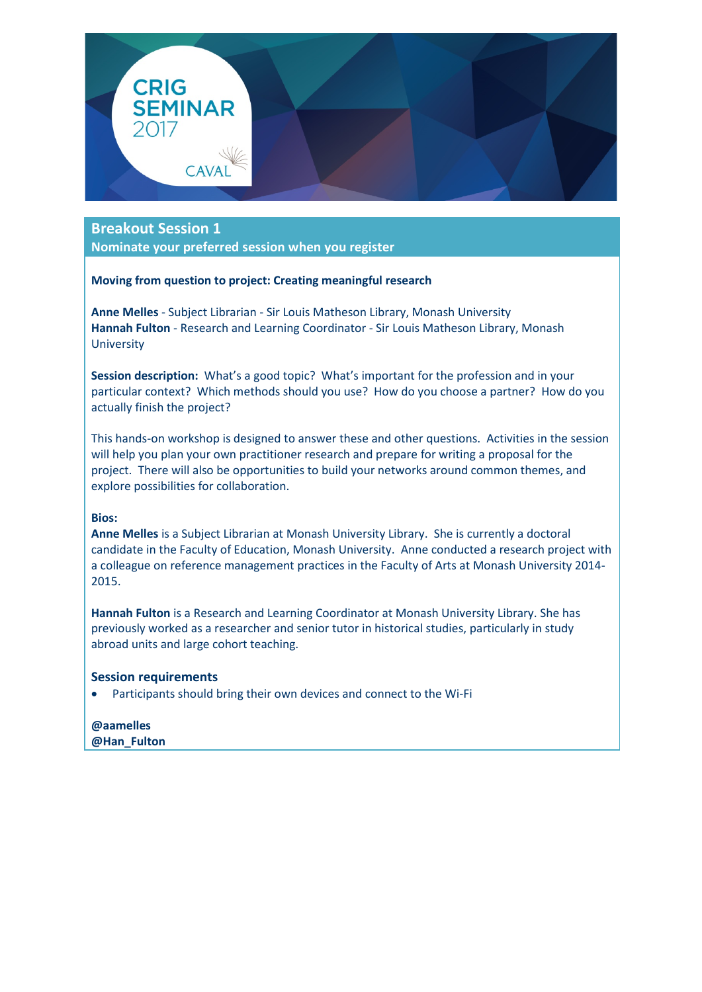

# **Breakout Session 1**

**Nominate your preferred session when you register**

# **Moving from question to project: Creating meaningful research**

**Anne Melles** - Subject Librarian - Sir Louis Matheson Library, Monash University **Hannah Fulton** - Research and Learning Coordinator - Sir Louis Matheson Library, Monash **University** 

**Session description:** What's a good topic? What's important for the profession and in your particular context? Which methods should you use? How do you choose a partner? How do you actually finish the project?

This hands-on workshop is designed to answer these and other questions. Activities in the session will help you plan your own practitioner research and prepare for writing a proposal for the project. There will also be opportunities to build your networks around common themes, and explore possibilities for collaboration.

# **Bios:**

**Anne Melles** is a Subject Librarian at Monash University Library. She is currently a doctoral candidate in the Faculty of Education, Monash University. Anne conducted a research project with a colleague on reference management practices in the Faculty of Arts at Monash University 2014- 2015.

**Hannah Fulton** is a Research and Learning Coordinator at Monash University Library. She has previously worked as a researcher and senior tutor in historical studies, particularly in study abroad units and large cohort teaching.

# **Session requirements**

• Participants should bring their own devices and connect to the Wi-Fi

**@aamelles @Han\_Fulton**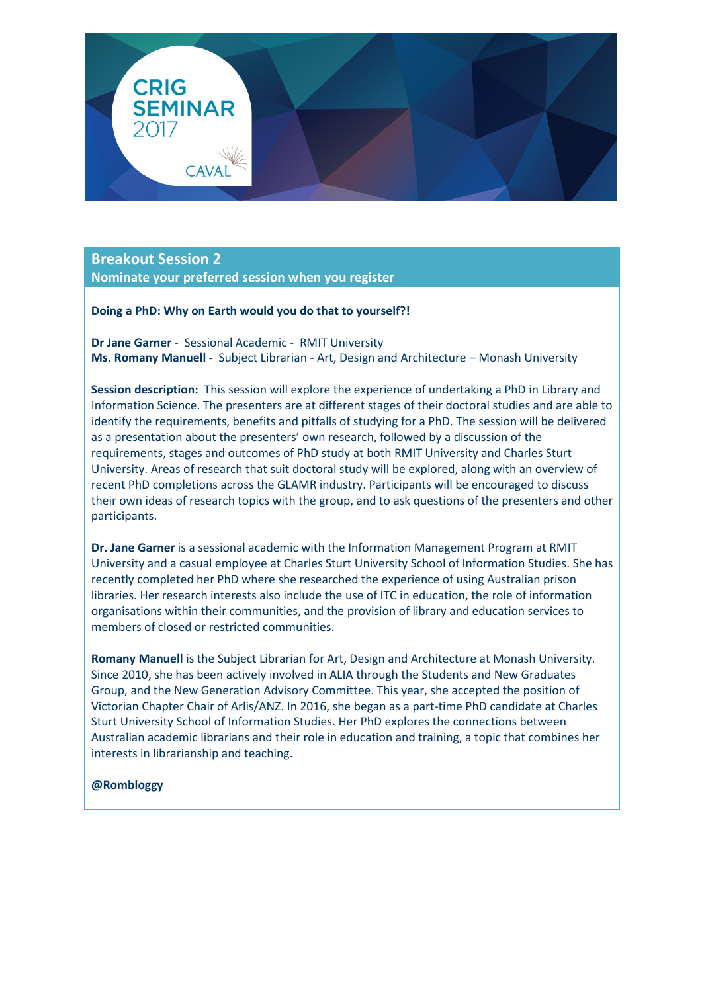

# **Breakout Session 2**

**Nominate your preferred session when you register**

# **Doing a PhD: Why on Earth would you do that to yourself?!**

**Dr Jane Garner** - Sessional Academic - RMIT University **Ms. Romany Manuell -** Subject Librarian - Art, Design and Architecture – Monash University

**Session description:** This session will explore the experience of undertaking a PhD in Library and Information Science. The presenters are at different stages of their doctoral studies and are able to identify the requirements, benefits and pitfalls of studying for a PhD. The session will be delivered as a presentation about the presenters' own research, followed by a discussion of the requirements, stages and outcomes of PhD study at both RMIT University and Charles Sturt University. Areas of research that suit doctoral study will be explored, along with an overview of recent PhD completions across the GLAMR industry. Participants will be encouraged to discuss their own ideas of research topics with the group, and to ask questions of the presenters and other participants.

**Dr. Jane Garner** is a sessional academic with the Information Management Program at RMIT University and a casual employee at Charles Sturt University School of Information Studies. She has recently completed her PhD where she researched the experience of using Australian prison libraries. Her research interests also include the use of ITC in education, the role of information organisations within their communities, and the provision of library and education services to members of closed or restricted communities.

**Romany Manuell** is the Subject Librarian for Art, Design and Architecture at Monash University. Since 2010, she has been actively involved in ALIA through the Students and New Graduates Group, and the New Generation Advisory Committee. This year, she accepted the position of Victorian Chapter Chair of Arlis/ANZ. In 2016, she began as a part-time PhD candidate at Charles Sturt University School of Information Studies. Her PhD explores the connections between Australian academic librarians and their role in education and training, a topic that combines her interests in librarianship and teaching.

# **@Rombloggy**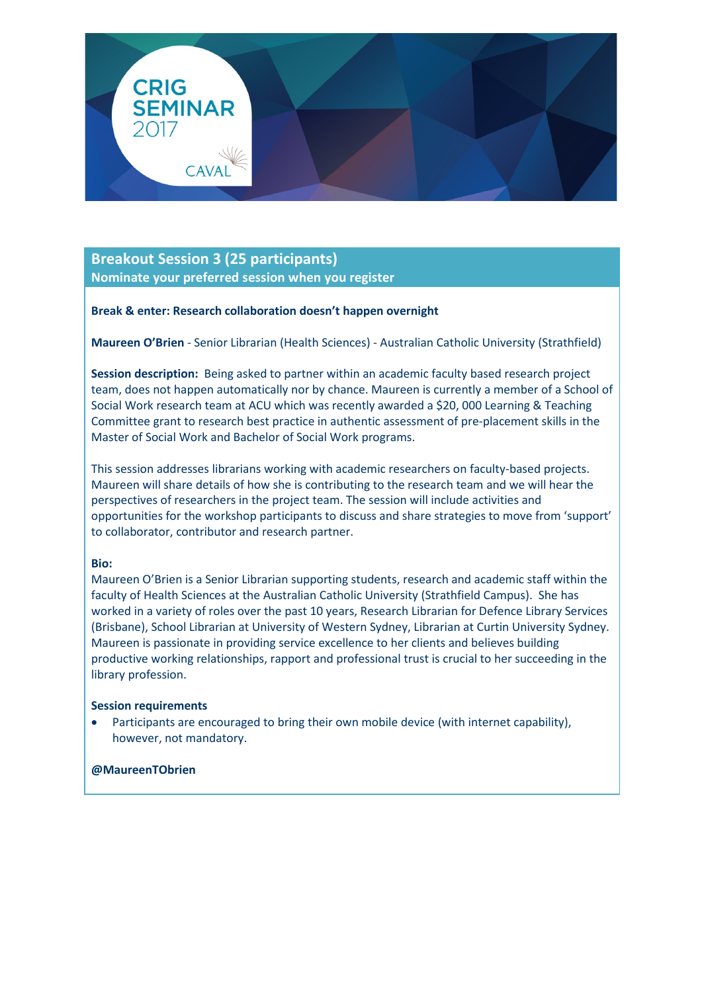

# **Breakout Session 3 (25 participants) Nominate your preferred session when you register**

# **Break & enter: Research collaboration doesn't happen overnight**

**Maureen O'Brien** - Senior Librarian (Health Sciences) - Australian Catholic University (Strathfield)

**Session description:** Being asked to partner within an academic faculty based research project team, does not happen automatically nor by chance. Maureen is currently a member of a School of Social Work research team at ACU which was recently awarded a \$20, 000 Learning & Teaching Committee grant to research best practice in authentic assessment of pre-placement skills in the Master of Social Work and Bachelor of Social Work programs.

This session addresses librarians working with academic researchers on faculty-based projects. Maureen will share details of how she is contributing to the research team and we will hear the perspectives of researchers in the project team. The session will include activities and opportunities for the workshop participants to discuss and share strategies to move from 'support' to collaborator, contributor and research partner.

# **Bio:**

Maureen O'Brien is a Senior Librarian supporting students, research and academic staff within the faculty of Health Sciences at the Australian Catholic University (Strathfield Campus). She has worked in a variety of roles over the past 10 years, Research Librarian for Defence Library Services (Brisbane), School Librarian at University of Western Sydney, Librarian at Curtin University Sydney. Maureen is passionate in providing service excellence to her clients and believes building productive working relationships, rapport and professional trust is crucial to her succeeding in the library profession.

# **Session requirements**

• Participants are encouraged to bring their own mobile device (with internet capability), however, not mandatory.

# **@MaureenTObrien**